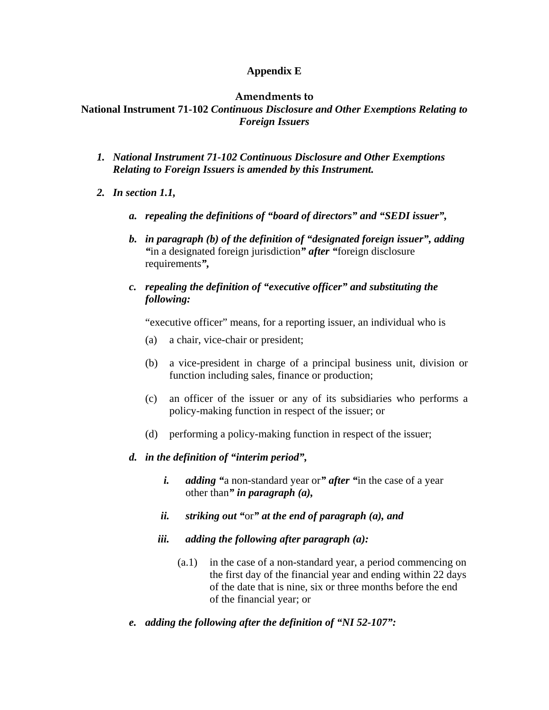## **Appendix E**

#### **Amendments to**

# **National Instrument 71-102** *Continuous Disclosure and Other Exemptions Relating to Foreign Issuers*

- *1. National Instrument 71-102 Continuous Disclosure and Other Exemptions Relating to Foreign Issuers is amended by this Instrument.*
- *2. In section 1.1,* 
	- *a. repealing the definitions of "board of directors" and "SEDI issuer",*
	- *b. in paragraph (b) of the definition of "designated foreign issuer", adding "*in a designated foreign jurisdiction*" after "*foreign disclosure requirements*",*
	- *c. repealing the definition of "executive officer" and substituting the following:*

"executive officer" means, for a reporting issuer, an individual who is

- (a) a chair, vice-chair or president;
- (b) a vice-president in charge of a principal business unit, division or function including sales, finance or production;
- (c) an officer of the issuer or any of its subsidiaries who performs a policy-making function in respect of the issuer; or
- (d) performing a policy-making function in respect of the issuer;

#### *d. in the definition of "interim period",*

- *i. adding "*a non-standard year or*" after "*in the case of a year other than*" in paragraph (a),*
- *ii. striking out "*or*" at the end of paragraph (a), and*
- *iii. adding the following after paragraph (a):* 
	- (a.1) in the case of a non-standard year, a period commencing on the first day of the financial year and ending within 22 days of the date that is nine, six or three months before the end of the financial year; or
- *e. adding the following after the definition of "NI 52-107":*